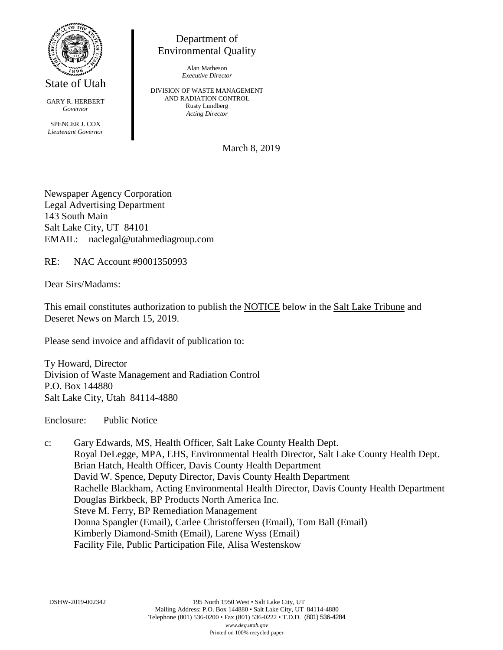

State of Utah

GARY R. HERBERT *Governor* SPENCER J. COX *Lieutenant Governor*

Department of Environmental Quality

> Alan Matheson *Executive Director*

DIVISION OF WASTE MANAGEMENT AND RADIATION CONTROL Rusty Lundberg *Acting Director*

March 8, 2019

Newspaper Agency Corporation Legal Advertising Department 143 South Main Salt Lake City, UT 84101 EMAIL: naclegal@utahmediagroup.com

RE: NAC Account #9001350993

Dear Sirs/Madams:

This email constitutes authorization to publish the NOTICE below in the Salt Lake Tribune and Deseret News on March 15, 2019.

Please send invoice and affidavit of publication to:

Ty Howard, Director Division of Waste Management and Radiation Control P.O. Box 144880 Salt Lake City, Utah 84114-4880

Enclosure: Public Notice

c: Gary Edwards, MS, Health Officer, Salt Lake County Health Dept. Royal DeLegge, MPA, EHS, Environmental Health Director, Salt Lake County Health Dept. Brian Hatch, Health Officer, Davis County Health Department David W. Spence, Deputy Director, Davis County Health Department Rachelle Blackham, Acting Environmental Health Director, Davis County Health Department Douglas Birkbeck, BP Products North America Inc. Steve M. Ferry, BP Remediation Management Donna Spangler (Email), Carlee Christoffersen (Email), Tom Ball (Email) Kimberly Diamond-Smith (Email), Larene Wyss (Email) Facility File, Public Participation File, Alisa Westenskow